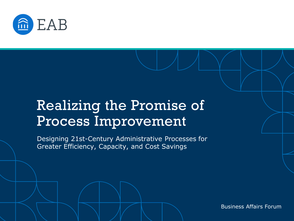

## Realizing the Promise of Process Improvement

Designing 21st-Century Administrative Processes for Greater Efficiency, Capacity, and Cost Savings

Business Affairs Forum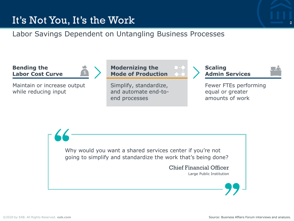

It's Not You, It's the Work

### **Bending the Labor Cost Curve**

Maintain or increase output while reducing input

Simplify, standardize, and automate end-to-**Mode of Production**

**Modernizing the** 

end processes

Labor Savings Dependent on Untangling Business Processes



2

Fewer FTEs performing equal or greater amounts of work

Why would you want a shared services center if you're not going to simplify and standardize the work that's being done?

> Chief Financial Officer Large Public Institution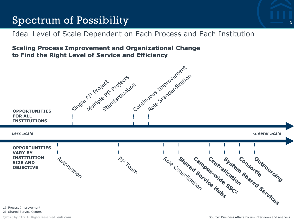## Spectrum of Possibility

## Ideal Level of Scale Dependent on Each Process and Each Institution

### **Scaling Process Improvement and Organizational Change to Find the Right Level of Service and Efficiency**



1) Process Improvement.

2) Shared Service Center.

[©2020 by EAB. All Rights Reserved.](https://www.eab.com/) **eab.com**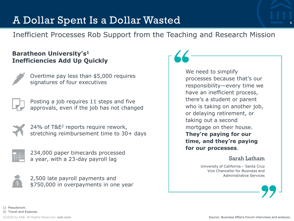## A Dollar Spent Is a Dollar Wasted

4

Inefficient Processes Rob Support from the Teaching and Research Mission

### **Baratheon University's<sup>1</sup> Inefficiencies Add Up Quickly**

|    | ś |
|----|---|
|    |   |
|    |   |
|    |   |
| هر |   |

Overtime pay less than \$5,000 requires signatures of four executives



Posting a job requires 11 steps and five approvals, even if the job has not changed



24% of T&E<sup>2</sup> reports require rework, stretching reimbursement time to 30+ days



234,000 paper timecards processed a year, with a 23-day payroll lag



2,500 late payroll payments and \$750,000 in overpayments in one year We need to simplify processes because that's our responsibility—every time we have an inefficient process, there's a student or parent who is taking on another job, or delaying retirement, or taking out a second mortgage on their house. **They're paying for our time, and they're paying for our processes**.

#### Sarah Latham

University of California – Santa Cruz Vice Chancellor for Business and Administrative Services



1) Pseudonym. 2) Travel and Expense.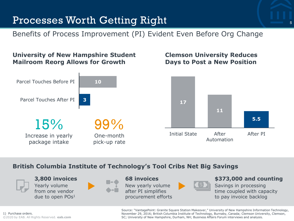## Processes Worth Getting Right

Benefits of Process Improvement (PI) Evident Even Before Org Change

## **University of New Hampshire Student Mailroom Reorg Allows for Growth**



## **Clemson University Reduces Days to Post a New Position**



## **British Columbia Institute of Technology's Tool Cribs Net Big Savings**



**3,800 invoices** Yearly volume from one vendor due to open POs<sup>1</sup>



#### **68 invoices**

New yearly volume after PI simplifies procurement efforts



### **\$373,000 and counting**

Savings in processing time coupled with capacity to pay invoice backlog

Source: "VantagePoint: Granite Square Station Makeover," University of New Hampshire Information Technology, November 29, 2016; British Columbia Institute of Technology, Burnaby, Canada; Clemson University, Clemson, SC; University of New Hampshire, Durham, NH; Business Affairs Forum interviews and analysis.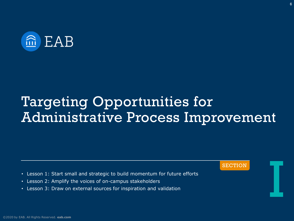

# Targeting Opportunities for Administrative Process Improvement

SECTION **In the SECTION** 

- Lesson 1: Start small and strategic to build momentum for future efforts
- Lesson 2: Amplify the voices of on-campus stakeholders
- Lesson 3: Draw on external sources for inspiration and validation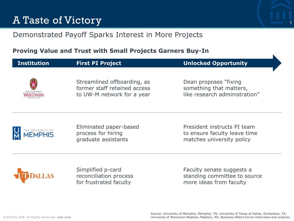## A Taste of Victory

## Demonstrated Payoff Sparks Interest in More Projects

## **Proving Value and Trust with Small Projects Garners Buy-In**

| <b>Institution</b>                   | <b>First PI Project</b>                                                                   | <b>Unlocked Opportunity</b>                                                              |
|--------------------------------------|-------------------------------------------------------------------------------------------|------------------------------------------------------------------------------------------|
|                                      | Streamlined offboarding, as<br>former staff retained access<br>to UW-M network for a year | Dean proposes "fixing"<br>something that matters,<br>like research administration"       |
| HE UNIVERSITY OF<br><b>⁄IEMPHIS.</b> | Eliminated paper-based<br>process for hiring<br>graduate assistants                       | President instructs PI team<br>to ensure faculty leave time<br>matches university policy |
|                                      | Simplified p-card<br>reconciliation process<br>for frustrated faculty                     | Faculty senate suggests a<br>standing committee to source<br>more ideas from faculty     |

7

N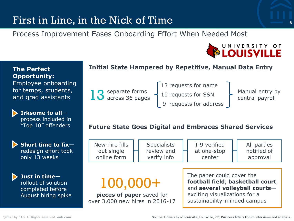## First in Line, in the Nick of Time

Process Improvement Eases Onboarding Effort When Needed Most



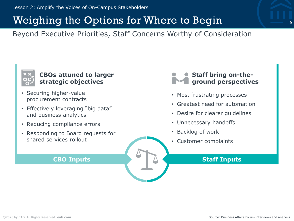## Weighing the Options for Where to Begin

Beyond Executive Priorities, Staff Concerns Worthy of Consideration



### **CBOs attuned to larger strategic objectives**

- Securing higher-value procurement contracts
- Effectively leveraging "big data" and business analytics
- Reducing compliance errors
- Responding to Board requests for shared services rollout



- Most frustrating processes
- Greatest need for automation
- Desire for clearer guidelines
- Unnecessary handoffs
- Backlog of work
- Customer complaints

### **CBO Inputs Staff Inputs**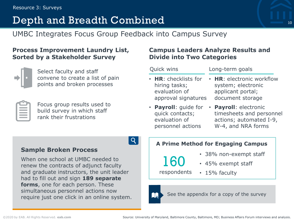#### Resource 3: Surveys

## Depth and Breadth Combined

UMBC Integrates Focus Group Feedback into Campus Survey

### **Process Improvement Laundry List, Sorted by a Stakeholder Survey**



Select faculty and staff convene to create a list of pain points and broken processes

Focus group results used to build survey in which staff rank their frustrations

### **Campus Leaders Analyze Results and Divide into Two Categories**

| <b>Quick wins</b>          | Long-term goals           |  |
|----------------------------|---------------------------|--|
| $\cdot$ HR: checklists for | • HR: electronic workflow |  |
| hiring tasks;              | system; electronic        |  |
| evaluation of              | applicant portal;         |  |
| approval signatures        | document storage          |  |
| • Payroll: quide for       | • Payroll: electronic     |  |
| quick contacts;            | timesheets and personnel  |  |
| evaluation of              | actions; automated I-9,   |  |
| personnel actions          | W-4, and NRA forms        |  |

### **Sample Broken Process**

When one school at UMBC needed to renew the contracts of adjunct faculty and graduate instructors, the unit leader had to fill out and sign **189 separate forms**, one for each person. These simultaneous personnel actions now simultaneous personner actions now<br>require just one click in an online system.

#### **A Prime Method for Engaging Campus**

- 38% non-exempt staff
- 45% exempt staff

respondents

160

• 15% faculty



| Q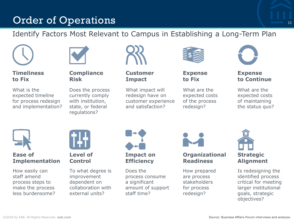## Order of Operations

## Identify Factors Most Relevant to Campus in Establishing a Long-Term Plan



**Timeliness to Fix**

What is the expected timeline for process redesign and implementation?



#### **Compliance Risk**

Does the process currently comply with institution, state, or federal regulations?



**Customer Impact**

What impact will redesign have on customer experience and satisfaction?



**Expense to Fix**

What are the expected costs of the process redesign?



**Expense to Continue**

11

What are the expected costs of maintaining the status quo?



### **Ease of Implementation**

How easily can staff amend process steps to make the process less burdensome?



**Level of Control**

To what degree is improvement dependent on collaboration with external units?



Does the process consume a significant amount of support staff time?



### **Organizational Readiness**

How prepared are process stakeholders for process redesign?



Is redesigning the identified process critical for meeting larger institutional goals, strategic objectives?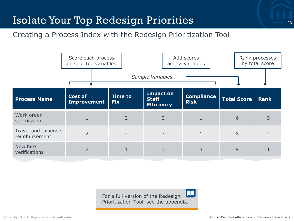## Isolate Your Top Redesign Priorities

## Creating a Process Index with the Redesign Prioritization Tool



For a full version of the Redesign Prioritization Tool, see the appendix.

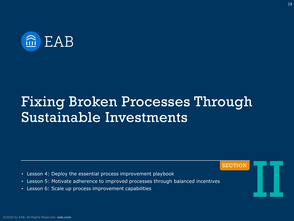

# Fixing Broken Processes Through Sustainable Investments

- Lesson 4: Deploy the essential process improvement playbook
- Lesson 5: Motivate adherence to improved processes through balanced incentives
- Lesson 6: Scale up process improvement capabilities

SECTION II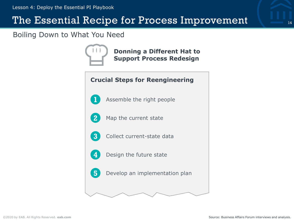## The Essential Recipe for Process Improvement

Boiling Down to What You Need



**Donning a Different Hat to Support Process Redesign**

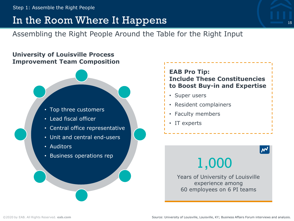## In the Room Where It Happens

Assembling the Right People Around the Table for the Right Input

## **University of Louisville Process Improvement Team Composition**



- Lead fiscal officer
- Central office representative
- **Sample Label** Unit and central end-users
- Auditors
- Business operations rep

## **EAB Pro Tip: Include These Constituencies to Boost Buy-in and Expertise**

- Super users
- Resident complainers
- Faculty members
- IT experts

15

1,000

Years of University of Louisville experience among 60 employees on 6 PI teams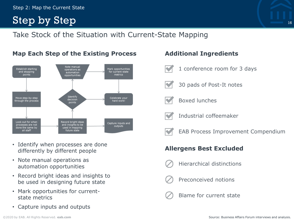#### Step 2: Map the Current State

## Step by Step



**Map Each Step of the Existing Process**

- Identify when processes are done differently by different people
- Note manual operations as automation opportunities
- Record bright ideas and insights to be used in designing future state
- Mark opportunities for currentstate metrics
- Capture inputs and outputs

### **Additional Ingredients**

1 conference room for 3 days

30 pads of Post-It notes

- - - Boxed lunches
		- Industrial coffeemaker
		- EAB Process Improvement Compendium

### **Allergens Best Excluded**

- Hierarchical distinctions
- Preconceived notions
- Blame for current state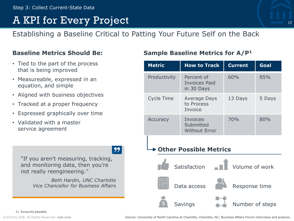## A KPI for Every Project

Establishing a Baseline Critical to Patting Your Future Self on the Back

### **Baseline Metrics Should Be:**

- Tied to the part of the process that is being improved
- Measureable, expressed in an equation, and simple
- Aligned with business objectives
- Tracked at a proper frequency
- Expressed graphically over time
- Validated with a master service agreement

## $\overline{99}$

"If you aren't measuring, tracking, and monitoring data, then you're not really reengineering."

> *Beth Hardin, UNC Charlotte Vice Chancellor for Business Affairs*

## **Sample Baseline Metrics for A/P<sup>1</sup>**

| <b>Metric</b>                  | <b>How to Track</b>                              | <b>Current</b>  | Goal          |  |  |  |
|--------------------------------|--------------------------------------------------|-----------------|---------------|--|--|--|
| Productivity                   | Percent of<br><b>Invoices Paid</b><br>in 30 Days | 60%             | 85%           |  |  |  |
| Cycle Time                     | Average Days<br>to Process<br><b>Invoice</b>     | 13 Days         | 5 Days        |  |  |  |
| Accuracy                       | Invoices<br>Submitted<br><b>Without Error</b>    | 70%             | 80%           |  |  |  |
| Other Possible Metrics         |                                                  |                 |               |  |  |  |
| Volume of work<br>Satisfaction |                                                  |                 |               |  |  |  |
| Data access                    |                                                  |                 | Response time |  |  |  |
| Savings                        |                                                  | Number of steps |               |  |  |  |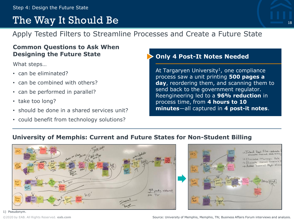## The Way It Should Be

Apply Tested Filters to Streamline Processes and Create a Future State

### **Common Questions to Ask When Designing the Future State**

What steps…

- can be eliminated?
- can be combined with others?
- can be performed in parallel?
- take too long?
- should be done in a shared services unit?
- could benefit from technology solutions?

### **Only 4 Post-It Notes Needed**

At Targaryen University<sup>1</sup>, one compliance process saw a unit printing **500 pages a day**, reordering them, and scanning them to send back to the government regulator. Reengineering led to a **96% reduction** in process time, from **4 hours to 10 minutes**—all captured in **4 post-it notes**.

### **University of Memphis: Current and Future States for Non-Student Billing**



<sup>1)</sup> Pseudonym.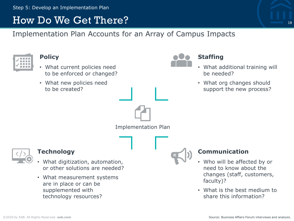## How Do We Get There?

Implementation Plan Accounts for an Array of Campus Impacts

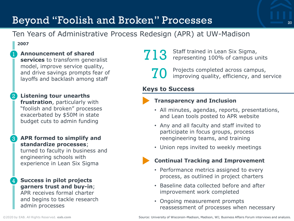## Beyond "Foolish and Broken" Processes

## Ten Years of Administrative Process Redesign (APR) at UW-Madison

#### **2007**

1 **Announcement of shared** 

**services** to transform generalist model, improve service quality, and drive savings prompts fear of layoffs and backlash among staff

- 2 **Listening tour unearths frustration**, particularly with "foolish and broken" processes exacerbated by \$50M in state budget cuts to admin funding
- 3 **APR formed to simplify and standardize processes**;

turned to faculty in business and engineering schools with experience in Lean Six Sigma

4 **Success in pilot projects garners trust and buy-in**; APR receives formal charter and begins to tackle research admin processes

- **713** Staff trained in Lean Six Sigma, representing 100% of campus units
	- 70 Projects completed across campus, improving quality, efficiency, and service

### **Keys to Success**

### **Transparency and Inclusion**

- All minutes, agendas, reports, presentations, and Lean tools posted to APR website
- Any and all faculty and staff invited to participate in focus groups, process reengineering teams, and training
- Union reps invited to weekly meetings

### **Continual Tracking and Improvement**

- Performance metrics assigned to every process, as outlined in project charters
- Baseline data collected before and after improvement work completed
- Ongoing measurement prompts reassessment of processes when necessary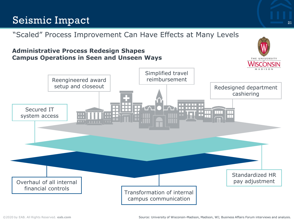## Seismic Impact

## "Scaled" Process Improvement Can Have Effects at Many Levels

### **Administrative Process Redesign Shapes Campus Operations in Seen and Unseen Ways**